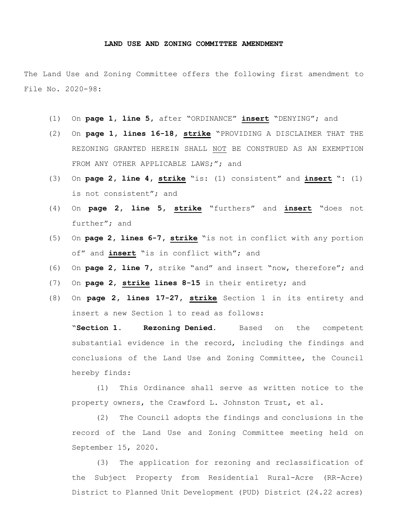## **LAND USE AND ZONING COMMITTEE AMENDMENT**

The Land Use and Zoning Committee offers the following first amendment to File No. 2020-98:

- (1) On **page 1, line 5,** after "ORDINANCE" **insert** "DENYING"; and
- (2) On **page 1, lines 16-18, strike** "PROVIDING A DISCLAIMER THAT THE REZONING GRANTED HEREIN SHALL NOT BE CONSTRUED AS AN EXEMPTION FROM ANY OTHER APPLICABLE LAWS;"; and
- (3) On **page 2, line 4, strike** "is: (1) consistent" and **insert** ": (1) is not consistent"; and
- (4) On **page 2, line 5, strike** "furthers" and **insert** "does not further"; and
- (5) On **page 2, lines 6-7, strike** "is not in conflict with any portion of" and **insert** "is in conflict with"; and
- (6) On **page 2, line 7,** strike "and" and insert "now, therefore"; and
- (7) On **page 2**, **strike lines 8-15** in their entirety; and
- (8) On **page 2, lines 17-27, strike** Section 1 in its entirety and insert a new Section 1 to read as follows:

"**Section 1. Rezoning Denied.** Based on the competent substantial evidence in the record, including the findings and conclusions of the Land Use and Zoning Committee, the Council hereby finds:

(1) This Ordinance shall serve as written notice to the property owners, the Crawford L. Johnston Trust, et al.

(2) The Council adopts the findings and conclusions in the record of the Land Use and Zoning Committee meeting held on September 15, 2020.

(3) The application for rezoning and reclassification of the Subject Property from Residential Rural-Acre (RR-Acre) District to Planned Unit Development (PUD) District (24.22 acres)